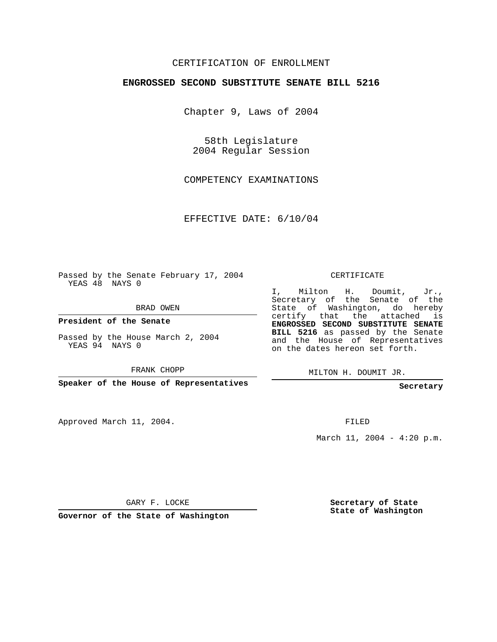## CERTIFICATION OF ENROLLMENT

## **ENGROSSED SECOND SUBSTITUTE SENATE BILL 5216**

Chapter 9, Laws of 2004

58th Legislature 2004 Regular Session

COMPETENCY EXAMINATIONS

EFFECTIVE DATE: 6/10/04

Passed by the Senate February 17, 2004 YEAS 48 NAYS 0

BRAD OWEN

**President of the Senate**

Passed by the House March 2, 2004 YEAS 94 NAYS 0

FRANK CHOPP

**Speaker of the House of Representatives**

Approved March 11, 2004.

CERTIFICATE

I, Milton H. Doumit, Jr., Secretary of the Senate of the State of Washington, do hereby certify that the attached is **ENGROSSED SECOND SUBSTITUTE SENATE BILL 5216** as passed by the Senate and the House of Representatives on the dates hereon set forth.

MILTON H. DOUMIT JR.

**Secretary**

FILED

March 11, 2004 - 4:20 p.m.

GARY F. LOCKE

**Governor of the State of Washington**

**Secretary of State State of Washington**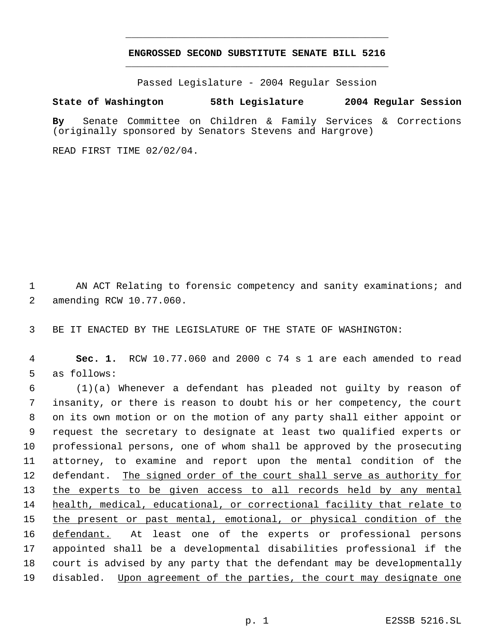## **ENGROSSED SECOND SUBSTITUTE SENATE BILL 5216** \_\_\_\_\_\_\_\_\_\_\_\_\_\_\_\_\_\_\_\_\_\_\_\_\_\_\_\_\_\_\_\_\_\_\_\_\_\_\_\_\_\_\_\_\_

\_\_\_\_\_\_\_\_\_\_\_\_\_\_\_\_\_\_\_\_\_\_\_\_\_\_\_\_\_\_\_\_\_\_\_\_\_\_\_\_\_\_\_\_\_

Passed Legislature - 2004 Regular Session

## **State of Washington 58th Legislature 2004 Regular Session**

**By** Senate Committee on Children & Family Services & Corrections (originally sponsored by Senators Stevens and Hargrove)

READ FIRST TIME 02/02/04.

1 AN ACT Relating to forensic competency and sanity examinations; and 2 amending RCW 10.77.060.

3 BE IT ENACTED BY THE LEGISLATURE OF THE STATE OF WASHINGTON:

 4 **Sec. 1.** RCW 10.77.060 and 2000 c 74 s 1 are each amended to read 5 as follows:

 (1)(a) Whenever a defendant has pleaded not guilty by reason of insanity, or there is reason to doubt his or her competency, the court on its own motion or on the motion of any party shall either appoint or request the secretary to designate at least two qualified experts or professional persons, one of whom shall be approved by the prosecuting attorney, to examine and report upon the mental condition of the 12 defendant. The signed order of the court shall serve as authority for 13 the experts to be given access to all records held by any mental health, medical, educational, or correctional facility that relate to 15 the present or past mental, emotional, or physical condition of the 16 defendant. At least one of the experts or professional persons appointed shall be a developmental disabilities professional if the court is advised by any party that the defendant may be developmentally 19 disabled. Upon agreement of the parties, the court may designate one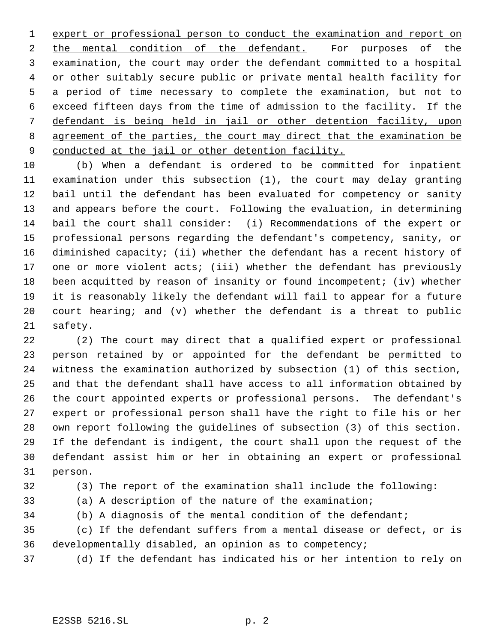expert or professional person to conduct the examination and report on the mental condition of the defendant. For purposes of the examination, the court may order the defendant committed to a hospital or other suitably secure public or private mental health facility for a period of time necessary to complete the examination, but not to 6 exceed fifteen days from the time of admission to the facility. If the defendant is being held in jail or other detention facility, upon 8 agreement of the parties, the court may direct that the examination be 9 conducted at the jail or other detention facility.

 (b) When a defendant is ordered to be committed for inpatient examination under this subsection (1), the court may delay granting bail until the defendant has been evaluated for competency or sanity and appears before the court. Following the evaluation, in determining bail the court shall consider: (i) Recommendations of the expert or professional persons regarding the defendant's competency, sanity, or diminished capacity; (ii) whether the defendant has a recent history of one or more violent acts; (iii) whether the defendant has previously been acquitted by reason of insanity or found incompetent; (iv) whether it is reasonably likely the defendant will fail to appear for a future court hearing; and (v) whether the defendant is a threat to public safety.

 (2) The court may direct that a qualified expert or professional person retained by or appointed for the defendant be permitted to witness the examination authorized by subsection (1) of this section, and that the defendant shall have access to all information obtained by the court appointed experts or professional persons. The defendant's expert or professional person shall have the right to file his or her own report following the guidelines of subsection (3) of this section. If the defendant is indigent, the court shall upon the request of the defendant assist him or her in obtaining an expert or professional person.

- 
- 

(3) The report of the examination shall include the following:

(a) A description of the nature of the examination;

(b) A diagnosis of the mental condition of the defendant;

 (c) If the defendant suffers from a mental disease or defect, or is developmentally disabled, an opinion as to competency;

(d) If the defendant has indicated his or her intention to rely on